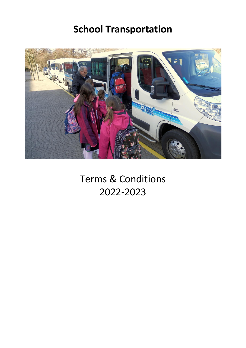# **School Transportation**



Terms & Conditions 2022-2023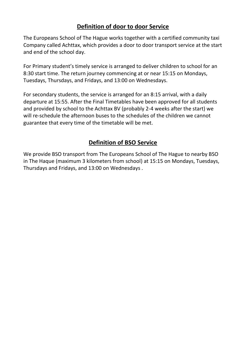#### **Definition of door to door Service**

The Europeans School of The Hague works together with a certified community taxi Company called Achttax, which provides a door to door transport service at the start and end of the school day.

For Primary student's timely service is arranged to deliver children to school for an 8:30 start time. The return journey commencing at or near 15:15 on Mondays, Tuesdays, Thursdays, and Fridays, and 13:00 on Wednesdays.

For secondary students, the service is arranged for an 8:15 arrival, with a daily departure at 15:55. After the Final Timetables have been approved for all students and provided by school to the Achttax BV (probably 2-4 weeks after the start) we will re-schedule the afternoon buses to the schedules of the children we cannot guarantee that every time of the timetable will be met.

#### **Definition of BSO Service**

We provide BSO transport from The Europeans School of The Hague to nearby BSO in The Haque (maximum 3 kilometers from school) at 15:15 on Mondays, Tuesdays, Thursdays and Fridays, and 13:00 on Wednesdays .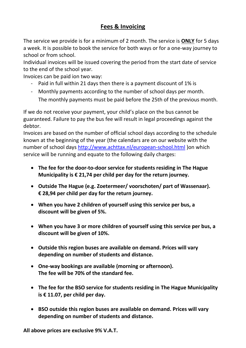#### **Fees & Invoicing**

The service we provide is for a minimum of 2 month. The service is **ONLY** for 5 days a week. It is possible to book the service for both ways or for a one-way journey to school or from school.

Individual invoices will be issued covering the period from the start date of service to the end of the school year.

Invoices can be paid ion two way:

- Paid in full within 21 days then there is a payment discount of 1% is
- Monthly payments according to the number of school days per month. The monthly payments must be paid before the 25th of the previous month.

If we do not receive your payment, your child's place on the bus cannot be guaranteed. Failure to pay the bus fee will result in legal proceedings against the debtor.

Invoices are based on the number of official school days according to the schedule known at the beginning of the year (the calendars are on our website with the number of school days<http://www.achttax.nl/european-school.html> )on which service will be running and equate to the following daily charges:

- **The fee for the door-to-door service for students residing in The Hague Municipality is € 21,74 per child per day for the return journey.**
- **Outside The Hague (e.g. Zoetermeer/ voorschoten/ part of Wassenaar). € 28,94 per child per day for the return journey.**
- **When you have 2 children of yourself using this service per bus, a discount will be given of 5%.**
- **When you have 3 or more children of yourself using this service per bus, a discount will be given of 10%.**
- **Outside this region buses are available on demand. Prices will vary depending on number of students and distance.**
- **One-way bookings are available (morning or afternoon). The fee will be 70% of the standard fee.**
- **The fee for the BSO service for students residing in The Hague Municipality is € 11.07, per child per day.**
- **BSO outside this region buses are available on demand. Prices will vary depending on number of students and distance.**

**All above prices are exclusive 9% V.A.T.**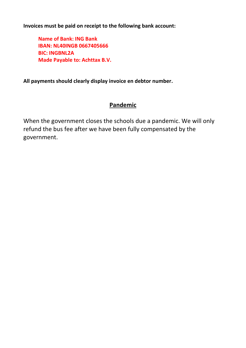**Invoices must be paid on receipt to the following bank account:**

**Name of Bank: ING Bank IBAN: NL40INGB 0667405666 BIC: INGBNL2A Made Payable to: Achttax B.V.**

**All payments should clearly display invoice en debtor number.**

#### **Pandemic**

When the government closes the schools due a pandemic. We will only refund the bus fee after we have been fully compensated by the government.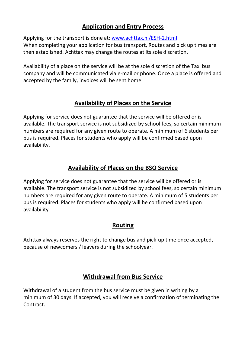#### **Application and Entry Process**

Applying for the transport is done at: [www.achttax.nl/ESH-2.html](http://www.achttax.nl/ESH-2.html) When completing your application for bus transport, Routes and pick up times are then established. Achttax may change the routes at its sole discretion.

Availability of a place on the service will be at the sole discretion of the Taxi bus company and will be communicated via e-mail or phone. Once a place is offered and accepted by the family, invoices will be sent home.

#### **Availability of Places on the Service**

Applying for service does not guarantee that the service will be offered or is available. The transport service is not subsidized by school fees, so certain minimum numbers are required for any given route to operate. A minimum of 6 students per bus is required. Places for students who apply will be confirmed based upon availability.

#### **Availability of Places on the BSO Service**

Applying for service does not guarantee that the service will be offered or is available. The transport service is not subsidized by school fees, so certain minimum numbers are required for any given route to operate. A minimum of 5 students per bus is required. Places for students who apply will be confirmed based upon availability.

#### **Routing**

Achttax always reserves the right to change bus and pick-up time once accepted, because of newcomers / leavers during the schoolyear.

#### **Withdrawal from Bus Service**

Withdrawal of a student from the bus service must be given in writing by a minimum of 30 days. If accepted, you will receive a confirmation of terminating the Contract.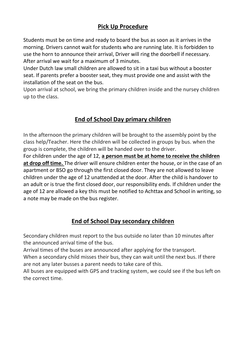#### **Pick Up Procedure**

Students must be on time and ready to board the bus as soon as it arrives in the morning. Drivers cannot wait for students who are running late. It is forbidden to use the horn to announce their arrival, Driver will ring the doorbell if necessary. After arrival we wait for a maximum of 3 minutes.

Under Dutch law small children are allowed to sit in a taxi bus without a booster seat. If parents prefer a booster seat, they must provide one and assist with the installation of the seat on the bus.

Upon arrival at school, we bring the primary children inside and the nursey children up to the class.

### **End of School Day primary children**

In the afternoon the primary children will be brought to the assembly point by the class help/Teacher. Here the children will be collected in groups by bus. when the group is complete, the children will be handed over to the driver.

For children under the age of 12, **a person must be at home to receive the children at drop off time.** The driver will ensure children enter the house, or in the case of an apartment or BSO go through the first closed door. They are not allowed to leave children under the age of 12 unattended at the door. After the child is handover to an adult or is true the first closed door, our responsibility ends. If children under the age of 12 are allowed a key this must be notified to Achttax and School in writing, so a note may be made on the bus register.

#### **End of School Day secondary children**

Secondary children must report to the bus outside no later than 10 minutes after the announced arrival time of the bus.

Arrival times of the buses are announced after applying for the transport.

When a secondary child misses their bus, they can wait until the next bus. If there are not any later busses a parent needs to take care of this.

All buses are equipped with GPS and tracking system, we could see if the bus left on the correct time.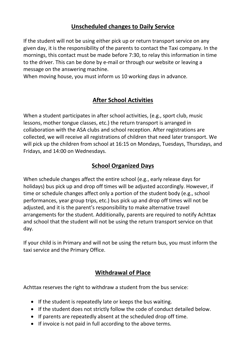#### **Unscheduled changes to Daily Service**

If the student will not be using either pick up or return transport service on any given day, it is the responsibility of the parents to contact the Taxi company. In the mornings, this contact must be made before 7:30, to relay this information in time to the driver. This can be done by e-mail or through our website or leaving a message on the answering machine.

When moving house, you must inform us 10 working days in advance.

#### **After School Activities**

When a student participates in after school activities, (e.g., sport club, music lessons, mother tongue classes, etc.) the return transport is arranged in collaboration with the ASA clubs and school reception. After registrations are collected, we will receive all registrations of children that need later transport. We will pick up the children from school at 16:15 on Mondays, Tuesdays, Thursdays, and Fridays, and 14:00 on Wednesdays.

#### **School Organized Days**

When schedule changes affect the entire school (e.g., early release days for holidays) bus pick up and drop off times will be adjusted accordingly. However, if time or schedule changes affect only a portion of the student body (e.g., school performances, year group trips, etc.) bus pick up and drop off times will not be adjusted, and it is the parent's responsibility to make alternative travel arrangements for the student. Additionally, parents are required to notify Achttax and school that the student will not be using the return transport service on that day.

If your child is in Primary and will not be using the return bus, you must inform the taxi service and the Primary Office.

#### **Withdrawal of Place**

Achttax reserves the right to withdraw a student from the bus service:

- If the student is repeatedly late or keeps the bus waiting.
- If the student does not strictly follow the code of conduct detailed below.
- If parents are repeatedly absent at the scheduled drop off time.
- If invoice is not paid in full according to the above terms.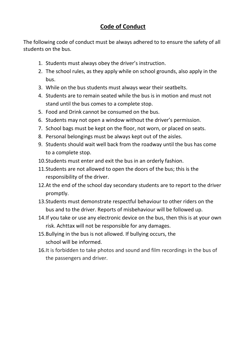#### **Code of Conduct**

The following code of conduct must be always adhered to to ensure the safety of all students on the bus.

- 1. Students must always obey the driver's instruction.
- 2. The school rules, as they apply while on school grounds, also apply in the bus.
- 3. While on the bus students must always wear their seatbelts.
- 4. Students are to remain seated while the bus is in motion and must not stand until the bus comes to a complete stop.
- 5. Food and Drink cannot be consumed on the bus.
- 6. Students may not open a window without the driver's permission.
- 7. School bags must be kept on the floor, not worn, or placed on seats.
- 8. Personal belongings must be always kept out of the aisles.
- 9. Students should wait well back from the roadway until the bus has come to a complete stop.
- 10.Students must enter and exit the bus in an orderly fashion.
- 11.Students are not allowed to open the doors of the bus; this is the responsibility of the driver.
- 12.At the end of the school day secondary students are to report to the driver promptly.
- 13.Students must demonstrate respectful behaviour to other riders on the bus and to the driver. Reports of misbehaviour will be followed up.
- 14.If you take or use any electronic device on the bus, then this is at your own risk. Achttax will not be responsible for any damages.
- 15.Bullying in the bus is not allowed. If bullying occurs, the school will be informed.
- 16.It is forbidden to take photos and sound and film recordings in the bus of the passengers and driver.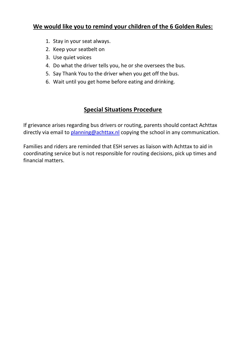#### **We would like you to remind your children of the 6 Golden Rules:**

- 1. Stay in your seat always.
- 2. Keep your seatbelt on
- 3. Use quiet voices
- 4. Do what the driver tells you, he or she oversees the bus.
- 5. Say Thank You to the driver when you get off the bus.
- 6. Wait until you get home before eating and drinking.

#### **Special Situations Procedure**

If grievance arises regarding bus drivers or routing, parents should contact Achttax directly via email to [planning@achttax.nl](mailto:Planning@achttax.nl) copying the school in any communication.

Families and riders are reminded that ESH serves as liaison with Achttax to aid in coordinating service but is not responsible for routing decisions, pick up times and financial matters.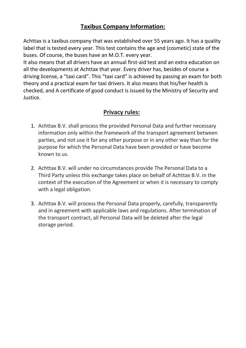#### **Taxibus Company Information:**

Achttax is a taxibus company that was established over 55 years ago. It has a quality label that is tested every year. This test contains the age and (cosmetic) state of the buses. Of course, the buses have an M.O.T. every year.

It also means that all drivers have an annual first-aid test and an extra education on all the developments at Achttax that year. Every driver has, besides of course a driving license, a "taxi card". This "taxi card" is achieved by passing an exam for both theory and a practical exam for taxi drivers. It also means that his/her health is checked, and A certificate of good conduct is issued by the Ministry of Security and Justice.

#### **Privacy rules:**

- 1. Achttax B.V. shall process the provided Personal Data and further necessary information only within the framework of the transport agreement between parties, and not use it for any other purpose or in any other way than for the purpose for which the Personal Data have been provided or have become known to us.
- 2. Achttax B.V. will under no circumstances provide The Personal Data to a Third Party unless this exchange takes place on behalf of Achttax B.V. in the context of the execution of the Agreement or when it is necessary to comply with a legal obligation.
- 3. Achttax B.V. will process the Personal Data properly, carefully, transparently and in agreement with applicable laws and regulations. After termination of the transport contract, all Personal Data will be deleted after the legal storage period.